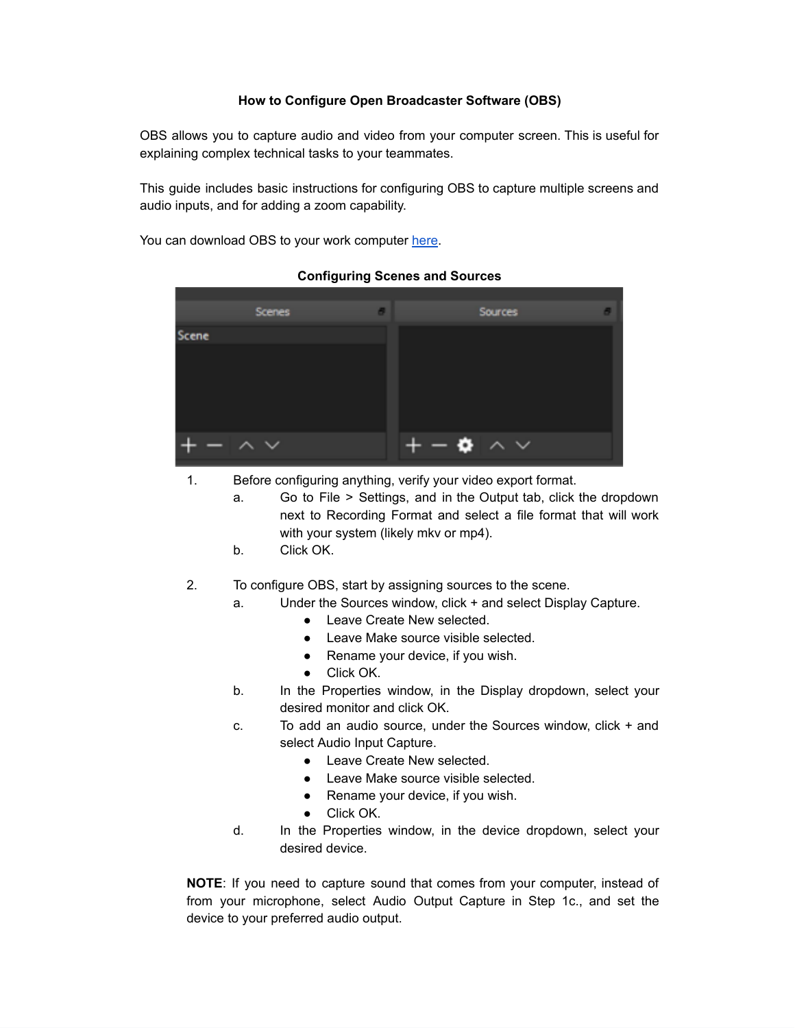## **How to Configure Open Broadcaster Software (OBS)**

OBS allows you to capture audio and video from your computer screen. This is useful for explaining complex technical tasks to your teammates.

This guide includes basic instructions for configuring OBS to capture multiple screens and audio inputs, and for adding a zoom capability.

You can download OBS to your work computer [here.](https://obsproject.com/)

|       | <b>Scenes</b> |   | Sources     |  |
|-------|---------------|---|-------------|--|
| Scene |               |   |             |  |
|       |               |   |             |  |
|       |               |   |             |  |
|       |               |   |             |  |
|       |               |   |             |  |
|       | $\checkmark$  | ۰ | $\land\lor$ |  |

## **Configuring Scenes and Sources**

- 1. Before configuring anything, verify your video export format.
	- a. Go to File > Settings, and in the Output tab, click the dropdown next to Recording Format and select a file format that will work with your system (likely mkv or mp4).
	- b. Click OK.
- 2. To configure OBS, start by assigning sources to the scene.
	- a. Under the Sources window, click + and select Display Capture.
		- Leave Create New selected.
		- Leave Make source visible selected.
		- Rename your device, if you wish.
		- Click OK.
	- b. In the Properties window, in the Display dropdown, select your desired monitor and click OK.
	- c. To add an audio source, under the Sources window, click + and select Audio Input Capture.
		- Leave Create New selected.
		- Leave Make source visible selected.
		- Rename your device, if you wish.
		- Click OK.
	- d. In the Properties window, in the device dropdown, select your desired device.

**NOTE**: If you need to capture sound that comes from your computer, instead of from your microphone, select Audio Output Capture in Step 1c., and set the device to your preferred audio output.